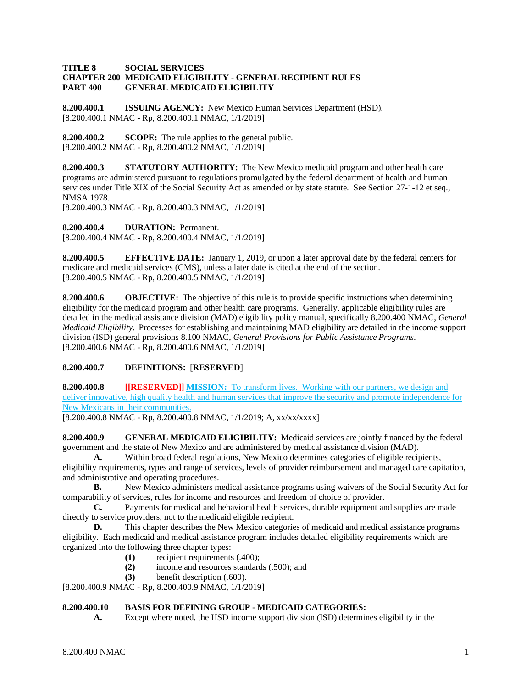### **TITLE 8 SOCIAL SERVICES CHAPTER 200 MEDICAID ELIGIBILITY - GENERAL RECIPIENT RULES GENERAL MEDICAID ELIGIBILITY**

**8.200.400.1 ISSUING AGENCY:** New Mexico Human Services Department (HSD). [8.200.400.1 NMAC - Rp, 8.200.400.1 NMAC, 1/1/2019]

**8.200.400.2 SCOPE:** The rule applies to the general public. [8.200.400.2 NMAC - Rp, 8.200.400.2 NMAC, 1/1/2019]

**8.200.400.3 STATUTORY AUTHORITY:** The New Mexico medicaid program and other health care programs are administered pursuant to regulations promulgated by the federal department of health and human services under Title XIX of the Social Security Act as amended or by state statute. See Section 27-1-12 et seq., NMSA 1978.

[8.200.400.3 NMAC - Rp, 8.200.400.3 NMAC, 1/1/2019]

**8.200.400.4 DURATION:** Permanent. [8.200.400.4 NMAC - Rp, 8.200.400.4 NMAC, 1/1/2019]

**8.200.400.5 EFFECTIVE DATE:** January 1, 2019, or upon a later approval date by the federal centers for medicare and medicaid services (CMS), unless a later date is cited at the end of the section. [8.200.400.5 NMAC - Rp, 8.200.400.5 NMAC, 1/1/2019]

**8.200.400.6 OBJECTIVE:** The objective of this rule is to provide specific instructions when determining eligibility for the medicaid program and other health care programs. Generally, applicable eligibility rules are detailed in the medical assistance division (MAD) eligibility policy manual, specifically 8.200.400 NMAC, *General Medicaid Eligibility*. Processes for establishing and maintaining MAD eligibility are detailed in the income support division (ISD) general provisions 8.100 NMAC, *General Provisions for Public Assistance Programs*. [8.200.400.6 NMAC - Rp, 8.200.400.6 NMAC, 1/1/2019]

## **8.200.400.7 DEFINITIONS:** [**RESERVED**]

**8.200.400.8 [[RESERVED]] MISSION:** To transform lives. Working with our partners, we design and deliver innovative, high quality health and human services that improve the security and promote independence for New Mexicans in their communities.

[8.200.400.8 NMAC - Rp, 8.200.400.8 NMAC, 1/1/2019; A, xx/xx/xxxx]

**8.200.400.9 GENERAL MEDICAID ELIGIBILITY:** Medicaid services are jointly financed by the federal government and the state of New Mexico and are administered by medical assistance division (MAD).

**A.** Within broad federal regulations, New Mexico determines categories of eligible recipients, eligibility requirements, types and range of services, levels of provider reimbursement and managed care capitation, and administrative and operating procedures.<br> **B.** New Mexico administers m

**B.** New Mexico administers medical assistance programs using waivers of the Social Security Act for comparability of services, rules for income and resources and freedom of choice of provider.

**C.** Payments for medical and behavioral health services, durable equipment and supplies are made directly to service providers, not to the medicaid eligible recipient.

**D.** This chapter describes the New Mexico categories of medicaid and medical assistance programs eligibility. Each medicaid and medical assistance program includes detailed eligibility requirements which are organized into the following three chapter types:

- **(1)** recipient requirements (.400);
- **(2)** income and resources standards (.500); and
- **(3)** benefit description (.600).

[8.200.400.9 NMAC - Rp, 8.200.400.9 NMAC, 1/1/2019]

## **8.200.400.10 BASIS FOR DEFINING GROUP - MEDICAID CATEGORIES:**

**A.** Except where noted, the HSD income support division (ISD) determines eligibility in the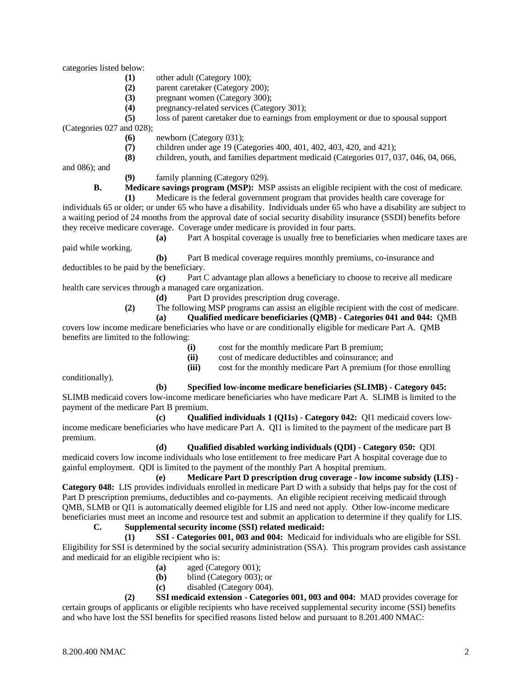categories listed below:

- **(1)** other adult (Category 100);
- **(2)** parent caretaker (Category 200);
- **(3)** pregnant women (Category 300);
- **(4)** pregnancy-related services (Category 301);

**(5)** loss of parent caretaker due to earnings from employment or due to spousal support

(Categories 027 and 028);

- **(6)** newborn (Category 031);
- (7) children under age 19 (Categories 400, 401, 402, 403, 420, and 421);<br>(8) children, youth, and families department medicaid (Categories 017, 0)
- **(8)** children, youth, and families department medicaid (Categories 017, 037, 046, 04, 066,

and 086); and

**(9)** family planning (Category 029).

**B. Medicare savings program (MSP):** MSP assists an eligible recipient with the cost of medicare.

**(1)** Medicare is the federal government program that provides health care coverage for individuals 65 or older; or under 65 who have a disability. Individuals under 65 who have a disability are subject to a waiting period of 24 months from the approval date of social security disability insurance (SSDI) benefits before they receive medicare coverage. Coverage under medicare is provided in four parts.

**(a)** Part A hospital coverage is usually free to beneficiaries when medicare taxes are paid while working.

**(b)** Part B medical coverage requires monthly premiums, co-insurance and deductibles to be paid by the beneficiary.

**(c)** Part C advantage plan allows a beneficiary to choose to receive all medicare health care services through a managed care organization.

**(d)** Part D provides prescription drug coverage.

**(2)** The following MSP programs can assist an eligible recipient with the cost of medicare.

**(a) Qualified medicare beneficiaries (QMB) - Categories 041 and 044:** QMB covers low income medicare beneficiaries who have or are conditionally eligible for medicare Part A. QMB benefits are limited to the following:

- **(i)** cost for the monthly medicare Part B premium;
- **(ii)** cost of medicare deductibles and coinsurance; and
- **(iii)** cost for the monthly medicare Part A premium (for those enrolling

conditionally).

**(b) Specified low-income medicare beneficiaries (SLIMB) - Category 045:**

SLIMB medicaid covers low-income medicare beneficiaries who have medicare Part A. SLIMB is limited to the payment of the medicare Part B premium.

**(c) Qualified individuals 1 (QI1s) - Category 042:** QI1 medicaid covers lowincome medicare beneficiaries who have medicare Part A. QI1 is limited to the payment of the medicare part B premium.

**(d) Qualified disabled working individuals (QDI) - Category 050:** QDI medicaid covers low income individuals who lose entitlement to free medicare Part A hospital coverage due to gainful employment. QDI is limited to the payment of the monthly Part A hospital premium.

**(e) Medicare Part D prescription drug coverage - low income subsidy (LIS) - Category 048:** LIS provides individuals enrolled in medicare Part D with a subsidy that helps pay for the cost of Part D prescription premiums, deductibles and co-payments. An eligible recipient receiving medicaid through QMB, SLMB or QI1 is automatically deemed eligible for LIS and need not apply. Other low-income medicare beneficiaries must meet an income and resource test and submit an application to determine if they qualify for LIS.

# **C. Supplemental security income (SSI) related medicaid:**

**(1) SSI - Categories 001, 003 and 004:** Medicaid for individuals who are eligible for SSI. Eligibility for SSI is determined by the social security administration (SSA). This program provides cash assistance and medicaid for an eligible recipient who is:

- **(a)** aged (Category 001);
- **(b)** blind (Category 003); or
- **(c)** disabled (Category 004).

**(2) SSI medicaid extension - Categories 001, 003 and 004:** MAD provides coverage for certain groups of applicants or eligible recipients who have received supplemental security income (SSI) benefits and who have lost the SSI benefits for specified reasons listed below and pursuant to 8.201.400 NMAC: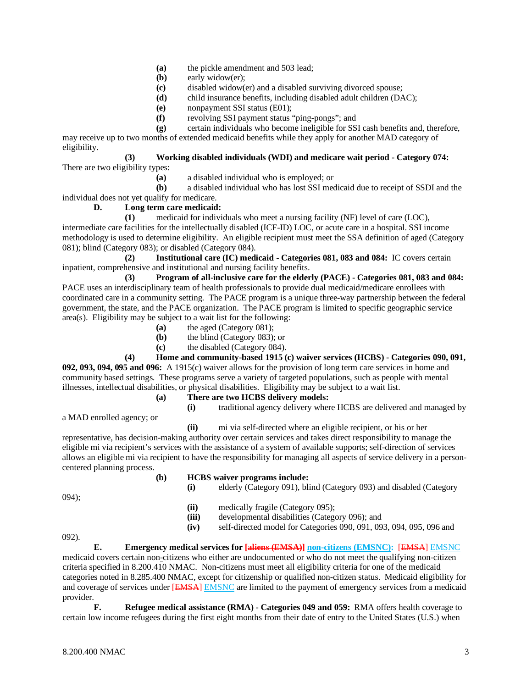- **(a)** the pickle amendment and 503 lead;
- **(b)** early widow(er);
- **(c)** disabled widow(er) and a disabled surviving divorced spouse;
- **(d)** child insurance benefits, including disabled adult children (DAC);
- **(e)** nonpayment SSI status (E01);
- **(f)** revolving SSI payment status "ping-pongs"; and

**(g)** certain individuals who become ineligible for SSI cash benefits and, therefore, may receive up to two months of extended medicaid benefits while they apply for another MAD category of eligibility.

## **(3) Working disabled individuals (WDI) and medicare wait period - Category 074:**

There are two eligibility types:

**(a)** a disabled individual who is employed; or

**(b)** a disabled individual who has lost SSI medicaid due to receipt of SSDI and the individual does not yet qualify for medicare.

## **D. Long term care medicaid:**

**(1)** medicaid for individuals who meet a nursing facility (NF) level of care (LOC), intermediate care facilities for the intellectually disabled (ICF-ID) LOC, or acute care in a hospital. SSI income methodology is used to determine eligibility. An eligible recipient must meet the SSA definition of aged (Category 081); blind (Category 083); or disabled (Category 084).

**(2) Institutional care (IC) medicaid - Categories 081, 083 and 084:** IC covers certain inpatient, comprehensive and institutional and nursing facility benefits.

**(3) Program of all-inclusive care for the elderly (PACE) - Categories 081, 083 and 084:** PACE uses an interdisciplinary team of health professionals to provide dual medicaid/medicare enrollees with coordinated care in a community setting. The PACE program is a unique three-way partnership between the federal government, the state, and the PACE organization. The PACE program is limited to specific geographic service area(s). Eligibility may be subject to a wait list for the following:

- **(a)** the aged (Category 081);
- **(b)** the blind (Category 083); or
- **(c)** the disabled (Category 084).

**(4) Home and community-based 1915 (c) waiver services (HCBS) - Categories 090, 091,** 

**092, 093, 094, 095 and 096:** A 1915(c) waiver allows for the provision of long term care services in home and community based settings. These programs serve a variety of targeted populations, such as people with mental illnesses, intellectual disabilities, or physical disabilities. Eligibility may be subject to a wait list.

#### **(a) There are two HCBS delivery models: (i)** traditional agency delivery where HCBS are delivered and managed by

a MAD enrolled agency; or

**(ii)** mi via self-directed where an eligible recipient, or his or her

representative, has decision-making authority over certain services and takes direct responsibility to manage the eligible mi via recipient's services with the assistance of a system of available supports; self-direction of services allows an eligible mi via recipient to have the responsibility for managing all aspects of service delivery in a personcentered planning process.

#### **(b) HCBS waiver programs include: (i)** elderly (Category 091), blind (Category 093) and disabled (Category

094);

- **(ii)** medically fragile (Category 095);<br>**(iii)** developmental disabilities (Category
- developmental disabilities (Category 096); and
- **(iv)** self-directed model for Categories 090, 091, 093, 094, 095, 096 and

092).

#### **E. Emergency medical services for [aliens (EMSA)] non-citizens (EMSNC):** [EMSA] EMSNC

medicaid covers certain non-citizens who either are undocumented or who do not meet the qualifying non-citizen criteria specified in 8.200.410 NMAC. Non-citizens must meet all eligibility criteria for one of the medicaid categories noted in 8.285.400 NMAC, except for citizenship or qualified non-citizen status. Medicaid eligibility for and coverage of services under [EMSA] EMSNC are limited to the payment of emergency services from a medicaid provider.

**F. Refugee medical assistance (RMA) - Categories 049 and 059:** RMA offers health coverage to certain low income refugees during the first eight months from their date of entry to the United States (U.S.) when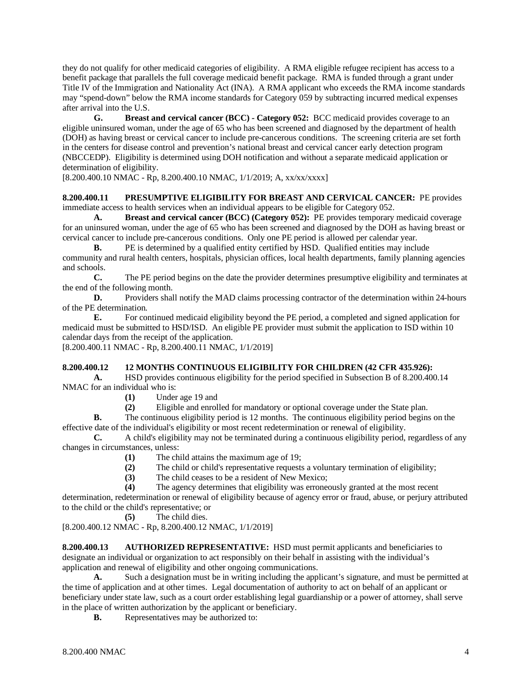they do not qualify for other medicaid categories of eligibility. A RMA eligible refugee recipient has access to a benefit package that parallels the full coverage medicaid benefit package. RMA is funded through a grant under Title IV of the Immigration and Nationality Act (INA). A RMA applicant who exceeds the RMA income standards may "spend-down" below the RMA income standards for Category 059 by subtracting incurred medical expenses after arrival into the U.S.

**G. Breast and cervical cancer (BCC) - Category 052:** BCC medicaid provides coverage to an eligible uninsured woman, under the age of 65 who has been screened and diagnosed by the department of health (DOH) as having breast or cervical cancer to include pre-cancerous conditions. The screening criteria are set forth in the centers for disease control and prevention's national breast and cervical cancer early detection program (NBCCEDP). Eligibility is determined using DOH notification and without a separate medicaid application or determination of eligibility.

[8.200.400.10 NMAC - Rp, 8.200.400.10 NMAC, 1/1/2019; A, xx/xx/xxxx]

**8.200.400.11 PRESUMPTIVE ELIGIBILITY FOR BREAST AND CERVICAL CANCER:** PE provides immediate access to health services when an individual appears to be eligible for Category 052.

**A. Breast and cervical cancer (BCC) (Category 052):** PE provides temporary medicaid coverage for an uninsured woman, under the age of 65 who has been screened and diagnosed by the DOH as having breast or cervical cancer to include pre-cancerous conditions. Only one PE period is allowed per calendar year.

**B.** PE is determined by a qualified entity certified by HSD. Qualified entities may include community and rural health centers, hospitals, physician offices, local health departments, family planning agencies and schools.

**C.** The PE period begins on the date the provider determines presumptive eligibility and terminates at the end of the following month.

**D.** Providers shall notify the MAD claims processing contractor of the determination within 24-hours of the PE determination.

**E.** For continued medicaid eligibility beyond the PE period, a completed and signed application for medicaid must be submitted to HSD/ISD. An eligible PE provider must submit the application to ISD within 10 calendar days from the receipt of the application.

[8.200.400.11 NMAC - Rp, 8.200.400.11 NMAC, 1/1/2019]

## **8.200.400.12 12 MONTHS CONTINUOUS ELIGIBILITY FOR CHILDREN (42 CFR 435.926):**

**A.** HSD provides continuous eligibility for the period specified in Subsection B of 8.200.400.14 NMAC for an individual who is:

- **(1)** Under age 19 and
- **(2)** Eligible and enrolled for mandatory or optional coverage under the State plan.

**B.** The continuous eligibility period is 12 months. The continuous eligibility period begins on the effective date of the individual's eligibility or most recent redetermination or renewal of eligibility.

**C.** A child's eligibility may not be terminated during a continuous eligibility period, regardless of any changes in circumstances, unless:

- **(1)** The child attains the maximum age of 19;
- (2) The child or child's representative requests a voluntary termination of eligibility;<br>(3) The child ceases to be a resident of New Mexico:
- (3) The child ceases to be a resident of New Mexico;<br>(4) The agency determines that eligibility was erroned
- The agency determines that eligibility was erroneously granted at the most recent

determination, redetermination or renewal of eligibility because of agency error or fraud, abuse, or perjury attributed to the child or the child's representative; or

**(5)** The child dies.

[8.200.400.12 NMAC - Rp, 8.200.400.12 NMAC, 1/1/2019]

**8.200.400.13 AUTHORIZED REPRESENTATIVE:** HSD must permit applicants and beneficiaries to designate an individual or organization to act responsibly on their behalf in assisting with the individual's application and renewal of eligibility and other ongoing communications.

**A.** Such a designation must be in writing including the applicant's signature, and must be permitted at the time of application and at other times. Legal documentation of authority to act on behalf of an applicant or beneficiary under state law, such as a court order establishing legal guardianship or a power of attorney, shall serve in the place of written authorization by the applicant or beneficiary.

**B.** Representatives may be authorized to: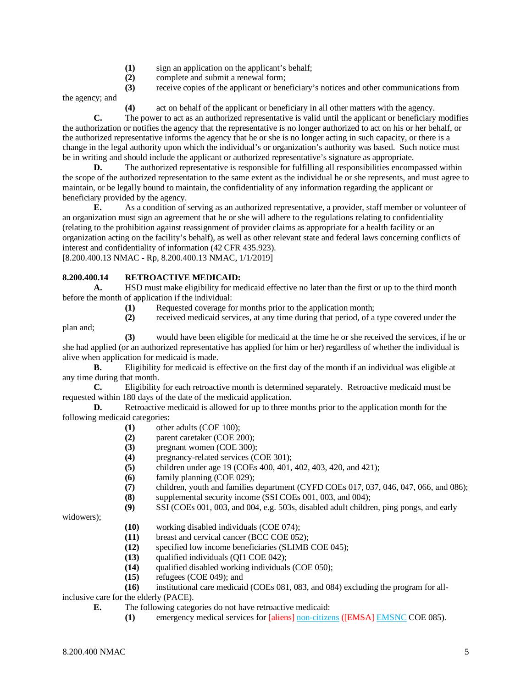- **(1)** sign an application on the applicant's behalf;
- **(2)** complete and submit a renewal form;
- **(3)** receive copies of the applicant or beneficiary's notices and other communications from

the agency; and

**(4)** act on behalf of the applicant or beneficiary in all other matters with the agency.

**C.** The power to act as an authorized representative is valid until the applicant or beneficiary modifies the authorization or notifies the agency that the representative is no longer authorized to act on his or her behalf, or the authorized representative informs the agency that he or she is no longer acting in such capacity, or there is a change in the legal authority upon which the individual's or organization's authority was based. Such notice must be in writing and should include the applicant or authorized representative's signature as appropriate.

**D.** The authorized representative is responsible for fulfilling all responsibilities encompassed within the scope of the authorized representation to the same extent as the individual he or she represents, and must agree to maintain, or be legally bound to maintain, the confidentiality of any information regarding the applicant or beneficiary provided by the agency.

**E.** As a condition of serving as an authorized representative, a provider, staff member or volunteer of an organization must sign an agreement that he or she will adhere to the regulations relating to confidentiality (relating to the prohibition against reassignment of provider claims as appropriate for a health facility or an organization acting on the facility's behalf), as well as other relevant state and federal laws concerning conflicts of interest and confidentiality of information (42 CFR 435.923).

[8.200.400.13 NMAC - Rp, 8.200.400.13 NMAC, 1/1/2019]

## **8.200.400.14 RETROACTIVE MEDICAID:**

**A.** HSD must make eligibility for medicaid effective no later than the first or up to the third month before the month of application if the individual:

**(1)** Requested coverage for months prior to the application month;

**(2)** received medicaid services, at any time during that period, of a type covered under the

**(3)** would have been eligible for medicaid at the time he or she received the services, if he or she had applied (or an authorized representative has applied for him or her) regardless of whether the individual is alive when application for medicaid is made.<br> **B.** Eligibility for medicaid is e

**B.** Eligibility for medicaid is effective on the first day of the month if an individual was eligible at any time during that month.

**C.** Eligibility for each retroactive month is determined separately. Retroactive medicaid must be requested within 180 days of the date of the medicaid application.

**D.** Retroactive medicaid is allowed for up to three months prior to the application month for the following medicaid categories:

- **(1)** other adults (COE 100);
- **(2)** parent caretaker (COE 200);
- **(3)** pregnant women (COE 300);
- **(4)** pregnancy-related services (COE 301);
- **(5)** children under age 19 (COEs 400, 401, 402, 403, 420, and 421);<br>**(6)** family planning (COE 029):
- **(6)** family planning (COE 029);
- **(7)** children, youth and families department (CYFD COEs 017, 037, 046, 047, 066, and 086);
- **(8)** supplemental security income (SSI COEs 001, 003, and 004);
- **(9)** SSI (COEs 001, 003, and 004, e.g. 503s, disabled adult children, ping pongs, and early

widowers);

plan and;

- **(10)** working disabled individuals (COE 074);
- **(11)** breast and cervical cancer (BCC COE 052);
- **(12)** specified low income beneficiaries (SLIMB COE 045);
- **(13)** qualified individuals (QI1 COE 042);
- **(14)** qualified disabled working individuals (COE 050);
- **(15)** refugees (COE 049); and

**(16)** institutional care medicaid (COEs 081, 083, and 084) excluding the program for all-

inclusive care for the elderly (PACE).

- **E.** The following categories do not have retroactive medicaid:
	- **(1)** emergency medical services for [aliens] non-citizens ([EMSA] EMSNC COE 085).